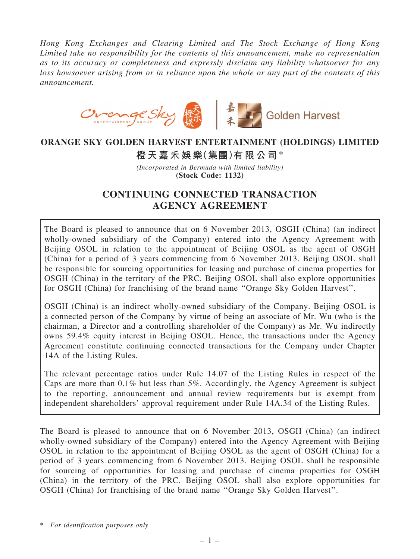Hong Kong Exchanges and Clearing Limited and The Stock Exchange of Hong Kong Limited take no responsibility for the contents of this announcement, make no representation as to its accuracy or completeness and expressly disclaim any liability whatsoever for any loss howsoever arising from or in reliance upon the whole or any part of the contents of this announcement.



# ORANGE SKY GOLDEN HARVEST ENTERTAINMENT (HOLDINGS) LIMITED

橙天嘉禾娛樂(集團)有限公司\*

(Incorporated in Bermuda with limited liability) (Stock Code: 1132)

# CONTINUING CONNECTED TRANSACTION AGENCY AGREEMENT

The Board is pleased to announce that on 6 November 2013, OSGH (China) (an indirect wholly-owned subsidiary of the Company) entered into the Agency Agreement with Beijing OSOL in relation to the appointment of Beijing OSOL as the agent of OSGH (China) for a period of 3 years commencing from 6 November 2013. Beijing OSOL shall be responsible for sourcing opportunities for leasing and purchase of cinema properties for OSGH (China) in the territory of the PRC. Beijing OSOL shall also explore opportunities for OSGH (China) for franchising of the brand name ''Orange Sky Golden Harvest''.

OSGH (China) is an indirect wholly-owned subsidiary of the Company. Beijing OSOL is a connected person of the Company by virtue of being an associate of Mr. Wu (who is the chairman, a Director and a controlling shareholder of the Company) as Mr. Wu indirectly owns 59.4% equity interest in Beijing OSOL. Hence, the transactions under the Agency Agreement constitute continuing connected transactions for the Company under Chapter 14A of the Listing Rules.

The relevant percentage ratios under Rule 14.07 of the Listing Rules in respect of the Caps are more than 0.1% but less than 5%. Accordingly, the Agency Agreement is subject to the reporting, announcement and annual review requirements but is exempt from independent shareholders' approval requirement under Rule 14A.34 of the Listing Rules.

The Board is pleased to announce that on 6 November 2013, OSGH (China) (an indirect wholly-owned subsidiary of the Company) entered into the Agency Agreement with Beijing OSOL in relation to the appointment of Beijing OSOL as the agent of OSGH (China) for a period of 3 years commencing from 6 November 2013. Beijing OSOL shall be responsible for sourcing of opportunities for leasing and purchase of cinema properties for OSGH (China) in the territory of the PRC. Beijing OSOL shall also explore opportunities for OSGH (China) for franchising of the brand name ''Orange Sky Golden Harvest''.

\* For identification purposes only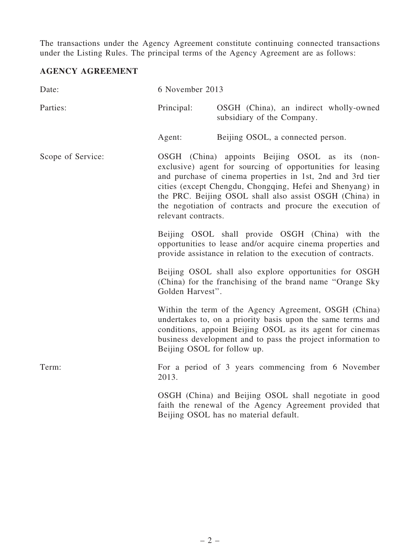The transactions under the Agency Agreement constitute continuing connected transactions under the Listing Rules. The principal terms of the Agency Agreement are as follows:

## AGENCY AGREEMENT

| Date:             | 6 November 2013                                                                                                                                                                                                                                                                                                                                                                         |                                                                                                                                                                                                                                                 |
|-------------------|-----------------------------------------------------------------------------------------------------------------------------------------------------------------------------------------------------------------------------------------------------------------------------------------------------------------------------------------------------------------------------------------|-------------------------------------------------------------------------------------------------------------------------------------------------------------------------------------------------------------------------------------------------|
| Parties:          | Principal:                                                                                                                                                                                                                                                                                                                                                                              | OSGH (China), an indirect wholly-owned<br>subsidiary of the Company.                                                                                                                                                                            |
|                   | Agent:                                                                                                                                                                                                                                                                                                                                                                                  | Beijing OSOL, a connected person.                                                                                                                                                                                                               |
| Scope of Service: | OSGH (China) appoints Beijing OSOL as its (non-<br>exclusive) agent for sourcing of opportunities for leasing<br>and purchase of cinema properties in 1st, 2nd and 3rd tier<br>cities (except Chengdu, Chongqing, Hefei and Shenyang) in<br>the PRC. Beijing OSOL shall also assist OSGH (China) in<br>the negotiation of contracts and procure the execution of<br>relevant contracts. |                                                                                                                                                                                                                                                 |
|                   |                                                                                                                                                                                                                                                                                                                                                                                         | Beijing OSOL shall provide OSGH (China) with the<br>opportunities to lease and/or acquire cinema properties and<br>provide assistance in relation to the execution of contracts.                                                                |
|                   | Golden Harvest".                                                                                                                                                                                                                                                                                                                                                                        | Beijing OSOL shall also explore opportunities for OSGH<br>(China) for the franchising of the brand name "Orange Sky                                                                                                                             |
|                   | Beijing OSOL for follow up.                                                                                                                                                                                                                                                                                                                                                             | Within the term of the Agency Agreement, OSGH (China)<br>undertakes to, on a priority basis upon the same terms and<br>conditions, appoint Beijing OSOL as its agent for cinemas<br>business development and to pass the project information to |
| Term:             | 2013.                                                                                                                                                                                                                                                                                                                                                                                   | For a period of 3 years commencing from 6 November                                                                                                                                                                                              |
|                   |                                                                                                                                                                                                                                                                                                                                                                                         | OSGH (China) and Beijing OSOL shall negotiate in good<br>faith the renewal of the Agency Agreement provided that<br>Beijing OSOL has no material default.                                                                                       |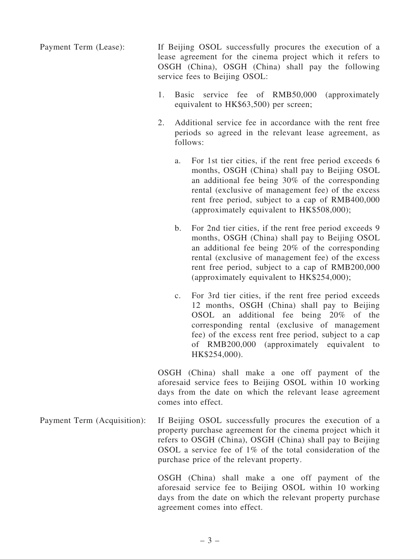Payment Term (Lease): If Beijing OSOL successfully procures the execution of a lease agreement for the cinema project which it refers to OSGH (China), OSGH (China) shall pay the following service fees to Beijing OSOL:

- 1. Basic service fee of RMB50,000 (approximately equivalent to HK\$63,500) per screen;
- 2. Additional service fee in accordance with the rent free periods so agreed in the relevant lease agreement, as follows:
	- a. For 1st tier cities, if the rent free period exceeds 6 months, OSGH (China) shall pay to Beijing OSOL an additional fee being 30% of the corresponding rental (exclusive of management fee) of the excess rent free period, subject to a cap of RMB400,000 (approximately equivalent to HK\$508,000);
	- b. For 2nd tier cities, if the rent free period exceeds 9 months, OSGH (China) shall pay to Beijing OSOL an additional fee being 20% of the corresponding rental (exclusive of management fee) of the excess rent free period, subject to a cap of RMB200,000 (approximately equivalent to HK\$254,000);
	- c. For 3rd tier cities, if the rent free period exceeds 12 months, OSGH (China) shall pay to Beijing OSOL an additional fee being 20% of the corresponding rental (exclusive of management fee) of the excess rent free period, subject to a cap of RMB200,000 (approximately equivalent to HK\$254,000).

OSGH (China) shall make a one off payment of the aforesaid service fees to Beijing OSOL within 10 working days from the date on which the relevant lease agreement comes into effect.

Payment Term (Acquisition): If Beijing OSOL successfully procures the execution of a property purchase agreement for the cinema project which it refers to OSGH (China), OSGH (China) shall pay to Beijing OSOL a service fee of 1% of the total consideration of the purchase price of the relevant property.

> OSGH (China) shall make a one off payment of the aforesaid service fee to Beijing OSOL within 10 working days from the date on which the relevant property purchase agreement comes into effect.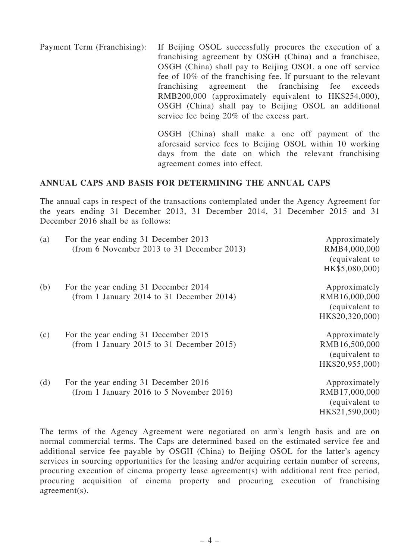Payment Term (Franchising): If Beijing OSOL successfully procures the execution of a franchising agreement by OSGH (China) and a franchisee, OSGH (China) shall pay to Beijing OSOL a one off service fee of 10% of the franchising fee. If pursuant to the relevant franchising agreement the franchising fee exceeds RMB200,000 (approximately equivalent to HK\$254,000), OSGH (China) shall pay to Beijing OSOL an additional service fee being 20% of the excess part.

> OSGH (China) shall make a one off payment of the aforesaid service fees to Beijing OSOL within 10 working days from the date on which the relevant franchising agreement comes into effect.

#### ANNUAL CAPS AND BASIS FOR DETERMINING THE ANNUAL CAPS

The annual caps in respect of the transactions contemplated under the Agency Agreement for the years ending 31 December 2013, 31 December 2014, 31 December 2015 and 31 December 2016 shall be as follows:

| (a) | For the year ending 31 December 2013<br>(from 6 November 2013 to 31 December 2013) | Approximately<br>RMB4,000,000<br>(equivalent to<br>HK\$5,080,000)   |
|-----|------------------------------------------------------------------------------------|---------------------------------------------------------------------|
| (b) | For the year ending 31 December 2014<br>(from 1 January 2014 to 31 December 2014)  | Approximately<br>RMB16,000,000<br>(equivalent to<br>HK\$20,320,000) |
| (c) | For the year ending 31 December 2015<br>(from 1 January 2015 to 31 December 2015)  | Approximately<br>RMB16,500,000<br>(equivalent to<br>HK\$20,955,000) |
| (d) | For the year ending 31 December 2016<br>(from 1 January 2016 to 5 November 2016)   | Approximately<br>RMB17,000,000<br>(equivalent to<br>HK\$21,590,000) |

The terms of the Agency Agreement were negotiated on arm's length basis and are on normal commercial terms. The Caps are determined based on the estimated service fee and additional service fee payable by OSGH (China) to Beijing OSOL for the latter's agency services in sourcing opportunities for the leasing and/or acquiring certain number of screens, procuring execution of cinema property lease agreement(s) with additional rent free period, procuring acquisition of cinema property and procuring execution of franchising agreement(s).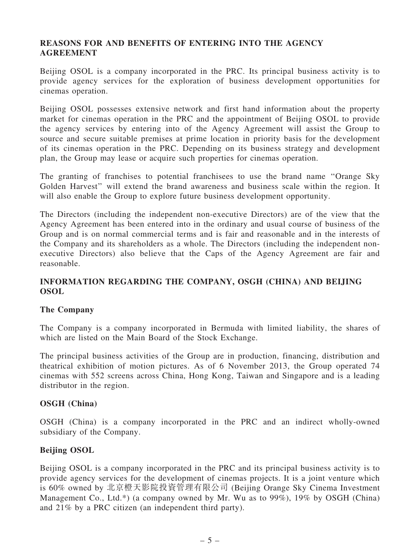## REASONS FOR AND BENEFITS OF ENTERING INTO THE AGENCY **AGREEMENT**

Beijing OSOL is a company incorporated in the PRC. Its principal business activity is to provide agency services for the exploration of business development opportunities for cinemas operation.

Beijing OSOL possesses extensive network and first hand information about the property market for cinemas operation in the PRC and the appointment of Beijing OSOL to provide the agency services by entering into of the Agency Agreement will assist the Group to source and secure suitable premises at prime location in priority basis for the development of its cinemas operation in the PRC. Depending on its business strategy and development plan, the Group may lease or acquire such properties for cinemas operation.

The granting of franchises to potential franchisees to use the brand name ''Orange Sky Golden Harvest'' will extend the brand awareness and business scale within the region. It will also enable the Group to explore future business development opportunity.

The Directors (including the independent non-executive Directors) are of the view that the Agency Agreement has been entered into in the ordinary and usual course of business of the Group and is on normal commercial terms and is fair and reasonable and in the interests of the Company and its shareholders as a whole. The Directors (including the independent nonexecutive Directors) also believe that the Caps of the Agency Agreement are fair and reasonable.

## INFORMATION REGARDING THE COMPANY, OSGH (CHINA) AND BEIJING OSOL

## The Company

The Company is a company incorporated in Bermuda with limited liability, the shares of which are listed on the Main Board of the Stock Exchange.

The principal business activities of the Group are in production, financing, distribution and theatrical exhibition of motion pictures. As of 6 November 2013, the Group operated 74 cinemas with 552 screens across China, Hong Kong, Taiwan and Singapore and is a leading distributor in the region.

#### OSGH (China)

OSGH (China) is a company incorporated in the PRC and an indirect wholly-owned subsidiary of the Company.

#### Beijing OSOL

Beijing OSOL is a company incorporated in the PRC and its principal business activity is to provide agency services for the development of cinemas projects. It is a joint venture which is 60% owned by 北京橙天影院投資管理有限公司 (Beijing Orange Sky Cinema Investment Management Co., Ltd.\*) (a company owned by Mr. Wu as to 99%), 19% by OSGH (China) and 21% by a PRC citizen (an independent third party).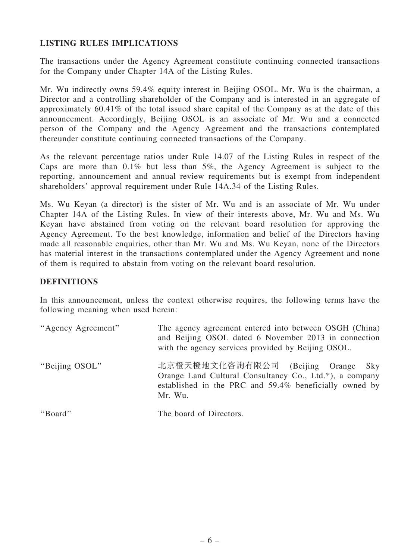## LISTING RULES IMPLICATIONS

The transactions under the Agency Agreement constitute continuing connected transactions for the Company under Chapter 14A of the Listing Rules.

Mr. Wu indirectly owns 59.4% equity interest in Beijing OSOL. Mr. Wu is the chairman, a Director and a controlling shareholder of the Company and is interested in an aggregate of approximately 60.41% of the total issued share capital of the Company as at the date of this announcement. Accordingly, Beijing OSOL is an associate of Mr. Wu and a connected person of the Company and the Agency Agreement and the transactions contemplated thereunder constitute continuing connected transactions of the Company.

As the relevant percentage ratios under Rule 14.07 of the Listing Rules in respect of the Caps are more than 0.1% but less than 5%, the Agency Agreement is subject to the reporting, announcement and annual review requirements but is exempt from independent shareholders' approval requirement under Rule 14A.34 of the Listing Rules.

Ms. Wu Keyan (a director) is the sister of Mr. Wu and is an associate of Mr. Wu under Chapter 14A of the Listing Rules. In view of their interests above, Mr. Wu and Ms. Wu Keyan have abstained from voting on the relevant board resolution for approving the Agency Agreement. To the best knowledge, information and belief of the Directors having made all reasonable enquiries, other than Mr. Wu and Ms. Wu Keyan, none of the Directors has material interest in the transactions contemplated under the Agency Agreement and none of them is required to abstain from voting on the relevant board resolution.

#### DEFINITIONS

In this announcement, unless the context otherwise requires, the following terms have the following meaning when used herein:

| "Agency Agreement" | The agency agreement entered into between OSGH (China)<br>and Beijing OSOL dated 6 November 2013 in connection<br>with the agency services provided by Beijing OSOL. |
|--------------------|----------------------------------------------------------------------------------------------------------------------------------------------------------------------|
| "Beijing OSOL"     | 北京橙天橙地文化咨詢有限公司 (Beijing Orange Sky<br>Orange Land Cultural Consultancy Co., Ltd.*), a company<br>established in the PRC and 59.4% beneficially owned by<br>Mr. Wu.   |
| "Board"            | The board of Directors.                                                                                                                                              |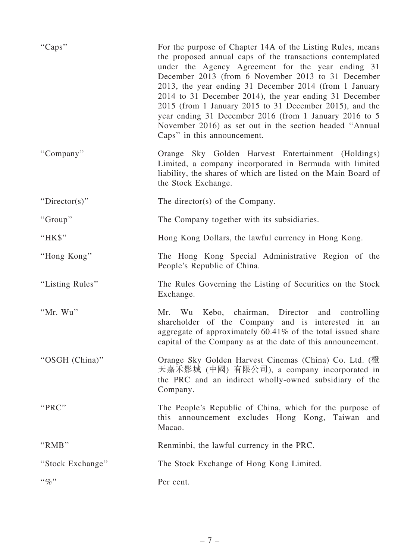| "Caps"                    | For the purpose of Chapter 14A of the Listing Rules, means<br>the proposed annual caps of the transactions contemplated<br>under the Agency Agreement for the year ending 31<br>December 2013 (from 6 November 2013 to 31 December<br>2013, the year ending 31 December 2014 (from 1 January<br>2014 to 31 December 2014), the year ending 31 December<br>2015 (from 1 January 2015 to 31 December 2015), and the<br>year ending 31 December 2016 (from 1 January 2016 to 5<br>November 2016) as set out in the section headed "Annual"<br>Caps" in this announcement. |
|---------------------------|------------------------------------------------------------------------------------------------------------------------------------------------------------------------------------------------------------------------------------------------------------------------------------------------------------------------------------------------------------------------------------------------------------------------------------------------------------------------------------------------------------------------------------------------------------------------|
| "Company"                 | Orange Sky Golden Harvest Entertainment (Holdings)<br>Limited, a company incorporated in Bermuda with limited<br>liability, the shares of which are listed on the Main Board of<br>the Stock Exchange.                                                                                                                                                                                                                                                                                                                                                                 |
| "Director(s)"             | The director(s) of the Company.                                                                                                                                                                                                                                                                                                                                                                                                                                                                                                                                        |
| "Group"                   | The Company together with its subsidiaries.                                                                                                                                                                                                                                                                                                                                                                                                                                                                                                                            |
| "HK\$"                    | Hong Kong Dollars, the lawful currency in Hong Kong.                                                                                                                                                                                                                                                                                                                                                                                                                                                                                                                   |
| "Hong Kong"               | The Hong Kong Special Administrative Region of the<br>People's Republic of China.                                                                                                                                                                                                                                                                                                                                                                                                                                                                                      |
| "Listing Rules"           | The Rules Governing the Listing of Securities on the Stock<br>Exchange.                                                                                                                                                                                                                                                                                                                                                                                                                                                                                                |
| "Mr. Wu"                  | Mr. Wu Kebo, chairman, Director and controlling<br>shareholder of the Company and is interested in an<br>aggregate of approximately 60.41% of the total issued share<br>capital of the Company as at the date of this announcement.                                                                                                                                                                                                                                                                                                                                    |
| "OSGH (China)"            | Orange Sky Golden Harvest Cinemas (China) Co. Ltd. (橙<br>天嘉禾影城 (中國) 有限公司), a company incorporated in<br>the PRC and an indirect wholly-owned subsidiary of the<br>Company.                                                                                                                                                                                                                                                                                                                                                                                             |
| "PRC"                     | The People's Republic of China, which for the purpose of<br>this announcement excludes Hong Kong, Taiwan<br>and<br>Macao.                                                                                                                                                                                                                                                                                                                                                                                                                                              |
| "RMB"                     | Renminbi, the lawful currency in the PRC.                                                                                                                                                                                                                                                                                                                                                                                                                                                                                                                              |
| "Stock Exchange"          | The Stock Exchange of Hong Kong Limited.                                                                                                                                                                                                                                                                                                                                                                                                                                                                                                                               |
| $\cdot \cdot \mathcal{A}$ | Per cent.                                                                                                                                                                                                                                                                                                                                                                                                                                                                                                                                                              |